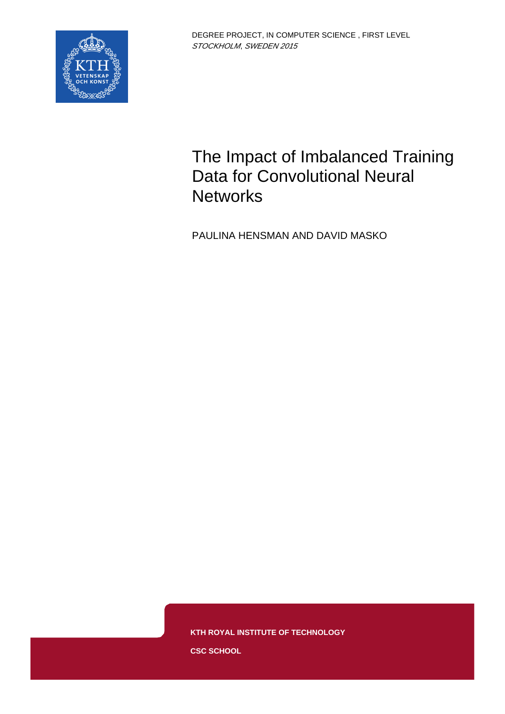

# The Impact of Imbalanced Training Data for Convolutional Neural **Networks**

PAULINA HENSMAN AND DAVID MASKO

**KTH ROYAL INSTITUTE OF TECHNOLOGY**

**CSC SCHOOL**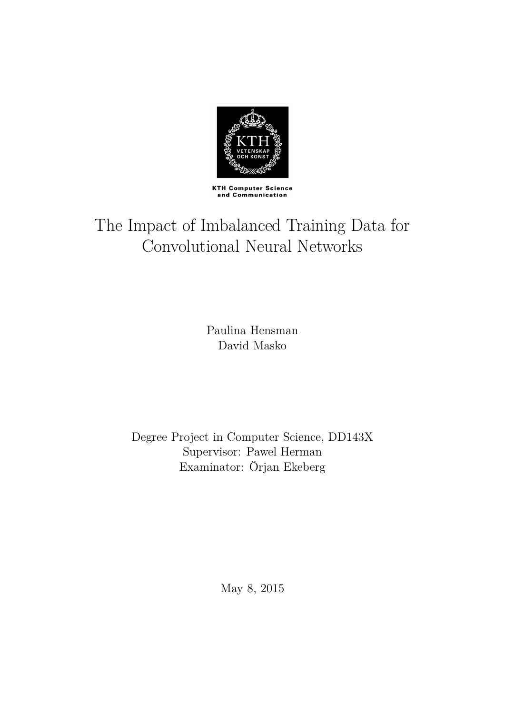

**KTH Computer Science** and Communication

# The Impact of Imbalanced Training Data for Convolutional Neural Networks

Paulina Hensman David Masko

Degree Project in Computer Science, DD143X Supervisor: Pawel Herman Examinator: Örjan Ekeberg

May 8, 2015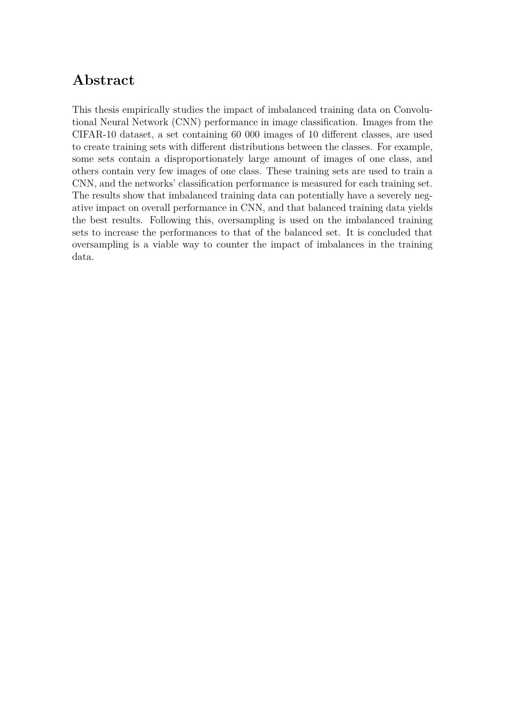### **Abstract**

This thesis empirically studies the impact of imbalanced training data on Convolutional Neural Network (CNN) performance in image classification. Images from the CIFAR-10 dataset, a set containing 60 000 images of 10 different classes, are used to create training sets with different distributions between the classes. For example, some sets contain a disproportionately large amount of images of one class, and others contain very few images of one class. These training sets are used to train a CNN, and the networks' classification performance is measured for each training set. The results show that imbalanced training data can potentially have a severely negative impact on overall performance in CNN, and that balanced training data yields the best results. Following this, oversampling is used on the imbalanced training sets to increase the performances to that of the balanced set. It is concluded that oversampling is a viable way to counter the impact of imbalances in the training data.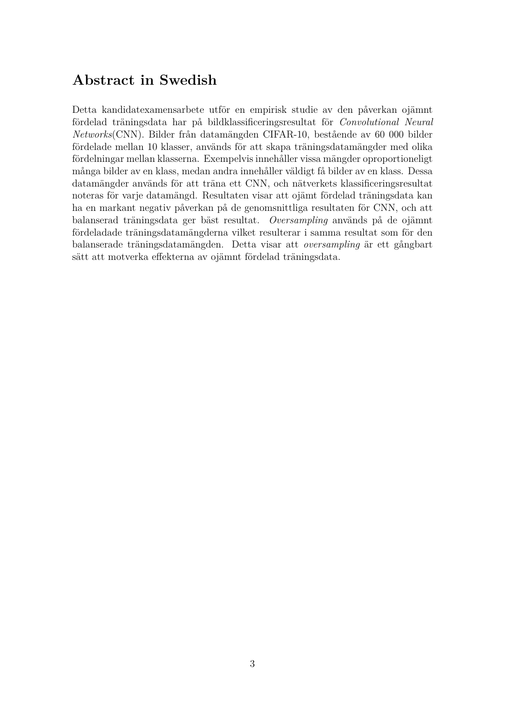### **Abstract in Swedish**

Detta kandidatexamensarbete utför en empirisk studie av den påverkan ojämnt fördelad träningsdata har på bildklassificeringsresultat för *Convolutional Neural Networks*(CNN). Bilder från datamängden CIFAR-10, bestående av 60 000 bilder fördelade mellan 10 klasser, används för att skapa träningsdatamängder med olika fördelningar mellan klasserna. Exempelvis innehåller vissa mängder oproportioneligt många bilder av en klass, medan andra innehåller väldigt få bilder av en klass. Dessa datamängder används för att träna ett CNN, och nätverkets klassificeringsresultat noteras för varje datamängd. Resultaten visar att ojämt fördelad träningsdata kan ha en markant negativ påverkan på de genomsnittliga resultaten för CNN, och att balanserad träningsdata ger bäst resultat. *Oversampling* används på de ojämnt fördeladade träningsdatamängderna vilket resulterar i samma resultat som för den balanserade träningsdatamängden. Detta visar att *oversampling* är ett gångbart sätt att motverka effekterna av ojämnt fördelad träningsdata.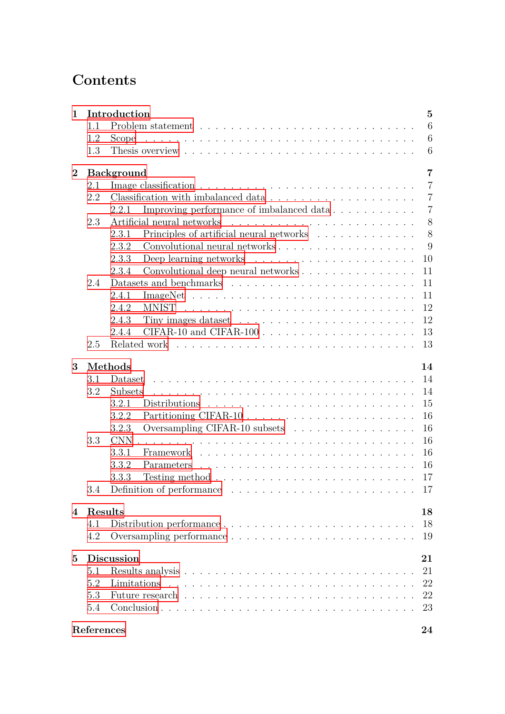## **Contents**

| $\mathbf{1}$ |                         | Introduction<br>$\overline{5}$                                                           |                |  |  |  |  |  |  |  |  |  |
|--------------|-------------------------|------------------------------------------------------------------------------------------|----------------|--|--|--|--|--|--|--|--|--|
|              | 1.1                     |                                                                                          | 6              |  |  |  |  |  |  |  |  |  |
|              | 1.2                     | Scope                                                                                    | 6              |  |  |  |  |  |  |  |  |  |
|              | 1.3                     |                                                                                          | 6              |  |  |  |  |  |  |  |  |  |
| $\bf{2}$     | <b>Background</b><br>7  |                                                                                          |                |  |  |  |  |  |  |  |  |  |
|              | 2.1                     |                                                                                          | $\overline{7}$ |  |  |  |  |  |  |  |  |  |
|              | 2.2                     |                                                                                          | $\overline{7}$ |  |  |  |  |  |  |  |  |  |
|              |                         | Improving performance of imbalanced data<br>2.2.1                                        | $\overline{7}$ |  |  |  |  |  |  |  |  |  |
|              | 2.3                     | Artificial neural networks                                                               | 8              |  |  |  |  |  |  |  |  |  |
|              |                         | Principles of artificial neural networks<br>2.3.1                                        | 8              |  |  |  |  |  |  |  |  |  |
|              |                         | 2.3.2                                                                                    | 9              |  |  |  |  |  |  |  |  |  |
|              |                         | 2.3.3<br>Deep learning networks $\ldots \ldots \ldots \ldots \ldots \ldots \ldots$       | 10             |  |  |  |  |  |  |  |  |  |
|              |                         | 2.3.4<br>Convolutional deep neural networks                                              | 11             |  |  |  |  |  |  |  |  |  |
|              | 2.4                     |                                                                                          | 11             |  |  |  |  |  |  |  |  |  |
|              |                         | 2.4.1                                                                                    | 11             |  |  |  |  |  |  |  |  |  |
|              |                         | 2.4.2<br><b>MNIST</b>                                                                    | 12             |  |  |  |  |  |  |  |  |  |
|              |                         | Tiny images dataset $\dots \dots \dots \dots \dots \dots \dots \dots \dots$<br>2.4.3     | 12             |  |  |  |  |  |  |  |  |  |
|              |                         | 2.4.4                                                                                    | 13             |  |  |  |  |  |  |  |  |  |
|              | 2.5                     | Related work                                                                             | 13             |  |  |  |  |  |  |  |  |  |
|              |                         |                                                                                          |                |  |  |  |  |  |  |  |  |  |
| 3            |                         | Methods                                                                                  | 14             |  |  |  |  |  |  |  |  |  |
|              | 3.1                     | Dataset                                                                                  | 14             |  |  |  |  |  |  |  |  |  |
|              | 3.2                     | Subsets                                                                                  | 14             |  |  |  |  |  |  |  |  |  |
|              |                         | 3.2.1<br>Distributions                                                                   | 15             |  |  |  |  |  |  |  |  |  |
|              |                         | 3.2.2                                                                                    | 16             |  |  |  |  |  |  |  |  |  |
|              |                         | Oversampling CIFAR-10 subsets<br>3.2.3                                                   | 16             |  |  |  |  |  |  |  |  |  |
|              | 3.3                     | <b>CNN</b>                                                                               | 16             |  |  |  |  |  |  |  |  |  |
|              |                         | 3.3.1<br>Framework                                                                       | 16             |  |  |  |  |  |  |  |  |  |
|              |                         | 3.3.2<br>Parameters                                                                      | 16             |  |  |  |  |  |  |  |  |  |
|              |                         | 3.3.3<br>Testing method $\ldots \ldots \ldots \ldots \ldots \ldots \ldots \ldots \ldots$ | 17             |  |  |  |  |  |  |  |  |  |
|              | 3.4                     |                                                                                          | 17             |  |  |  |  |  |  |  |  |  |
|              |                         |                                                                                          |                |  |  |  |  |  |  |  |  |  |
| 4            | Results<br>18           |                                                                                          |                |  |  |  |  |  |  |  |  |  |
|              | 4.1                     | Distribution performance                                                                 | 18             |  |  |  |  |  |  |  |  |  |
|              | 4.2                     |                                                                                          | 19             |  |  |  |  |  |  |  |  |  |
|              |                         |                                                                                          |                |  |  |  |  |  |  |  |  |  |
| $\bf{5}$     | <b>Discussion</b><br>21 |                                                                                          |                |  |  |  |  |  |  |  |  |  |
|              | 5.1                     |                                                                                          | 21             |  |  |  |  |  |  |  |  |  |
|              | 5.2                     |                                                                                          | 22             |  |  |  |  |  |  |  |  |  |
|              | 5.3                     |                                                                                          | 22             |  |  |  |  |  |  |  |  |  |
|              | 5.4                     |                                                                                          | 23             |  |  |  |  |  |  |  |  |  |
|              |                         |                                                                                          |                |  |  |  |  |  |  |  |  |  |
|              |                         | References                                                                               | 24             |  |  |  |  |  |  |  |  |  |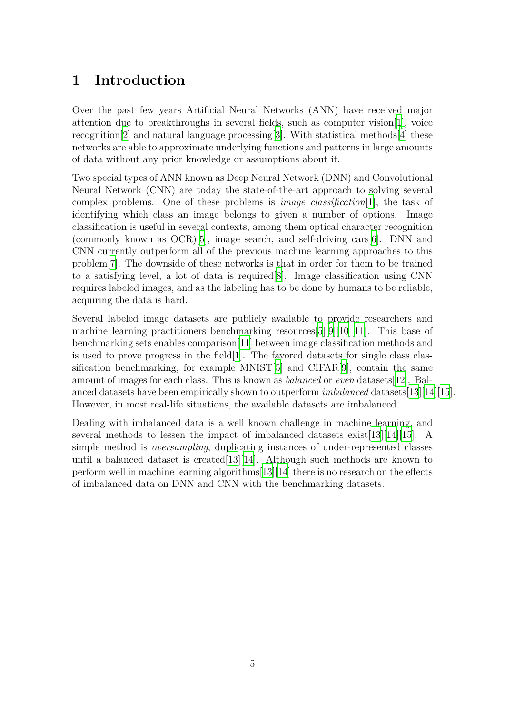### <span id="page-5-0"></span>**1 Introduction**

Over the past few years Artificial Neural Networks (ANN) have received major attention due to breakthroughs in several fields, such as computer vision[[1\]](#page-24-0), voice recognition[[2\]](#page-24-1) and natural language processing[[3](#page-24-2)]. With statistical methods[[4](#page-24-3)] these networks are able to approximate underlying functions and patterns in large amounts of data without any prior knowledge or assumptions about it.

Two special types of ANN known as Deep Neural Network (DNN) and Convolutional Neural Network (CNN) are today the state-of-the-art approach to solving several complex problems. One of these problems is *image classification*[\[1\]](#page-24-0), the task of identifying which class an image belongs to given a number of options. Image classification is useful in several contexts, among them optical character recognition (commonly known as OCR)[\[5](#page-24-4)], image search, and self-driving cars[\[6](#page-24-5)]. DNN and CNN currently outperform all of the previous machine learning approaches to this problem[[7\]](#page-24-6). The downside of these networks is that in order for them to be trained to a satisfying level, a lot of data is required[[8\]](#page-24-7). Image classification using CNN requires labeled images, and as the labeling has to be done by humans to be reliable, acquiring the data is hard.

Several labeled image datasets are publicly available to provide researchers and machine learning practitioners benchmarking resources[[5\]](#page-24-4)[\[9](#page-24-8)][[10](#page-24-9)][[11\]](#page-24-10). This base of benchmarking sets enables comparison[[11\]](#page-24-10) between image classification methods and is used to prove progress in the field  $[1]$  $[1]$ . The favored datasets for single class classification benchmarking, for example MNIST[[5\]](#page-24-4) and CIFAR[[9\]](#page-24-8), contain the same amount of images for each class. This is known as *balanced* or *even* datasets[[12\]](#page-24-11). Balanced datasets have been empirically shown to outperform *imbalanced* datasets[\[13](#page-24-12)][[14](#page-24-13)][[15\]](#page-24-14). However, in most real-life situations, the available datasets are imbalanced.

Dealing with imbalanced data is a well known challenge in machine learning, and several methods to lessen the impact of imbalanced datasets exist[\[13](#page-24-12)][[14](#page-24-13)][[15\]](#page-24-14). A simple method is *oversampling*, duplicating instances of under-represented classes until a balanced dataset is created[[13\]](#page-24-12)[\[14\]](#page-24-13). Although such methods are known to perform well in machine learning algorithms[\[13](#page-24-12)][[14](#page-24-13)] there is no research on the effects of imbalanced data on DNN and CNN with the benchmarking datasets.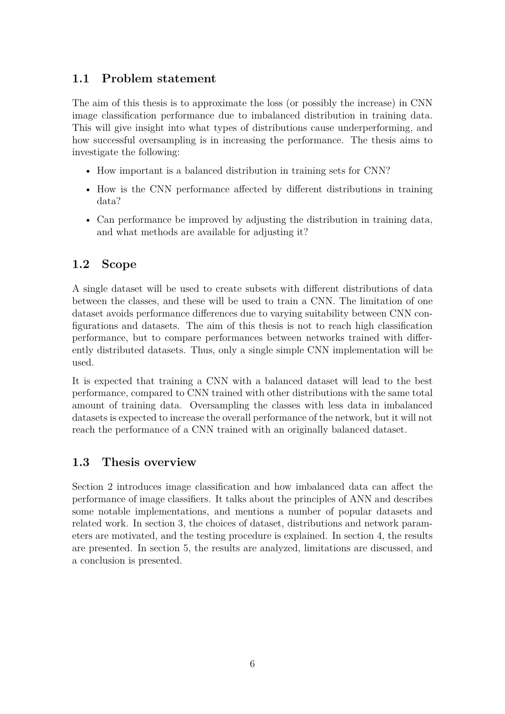### <span id="page-6-0"></span>**1.1 Problem statement**

The aim of this thesis is to approximate the loss (or possibly the increase) in CNN image classification performance due to imbalanced distribution in training data. This will give insight into what types of distributions cause underperforming, and how successful oversampling is in increasing the performance. The thesis aims to investigate the following:

- How important is a balanced distribution in training sets for CNN?
- How is the CNN performance affected by different distributions in training data?
- Can performance be improved by adjusting the distribution in training data, and what methods are available for adjusting it?

### <span id="page-6-1"></span>**1.2 Scope**

A single dataset will be used to create subsets with different distributions of data between the classes, and these will be used to train a CNN. The limitation of one dataset avoids performance differences due to varying suitability between CNN configurations and datasets. The aim of this thesis is not to reach high classification performance, but to compare performances between networks trained with differently distributed datasets. Thus, only a single simple CNN implementation will be used.

It is expected that training a CNN with a balanced dataset will lead to the best performance, compared to CNN trained with other distributions with the same total amount of training data. Oversampling the classes with less data in imbalanced datasets is expected to increase the overall performance of the network, but it will not reach the performance of a CNN trained with an originally balanced dataset.

### <span id="page-6-2"></span>**1.3 Thesis overview**

<span id="page-6-3"></span>Section 2 introduces image classification and how imbalanced data can affect the performance of image classifiers. It talks about the principles of ANN and describes some notable implementations, and mentions a number of popular datasets and related work. In section 3, the choices of dataset, distributions and network parameters are motivated, and the testing procedure is explained. In section 4, the results are presented. In section 5, the results are analyzed, limitations are discussed, and a conclusion is presented.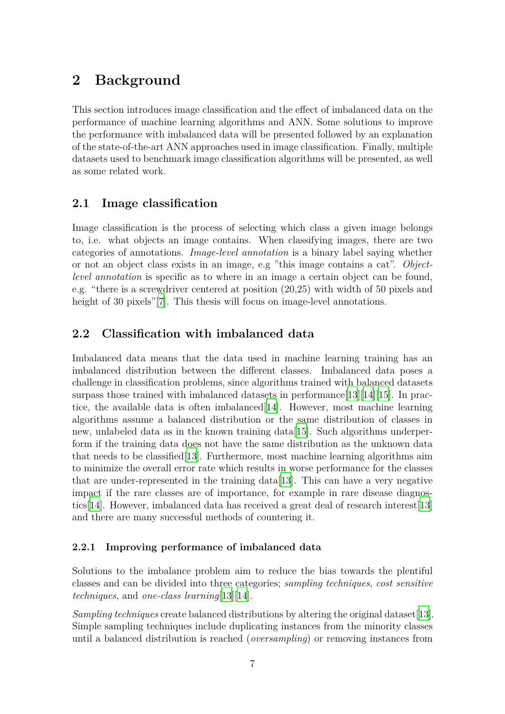### **2 Background**

This section introduces image classification and the effect of imbalanced data on the performance of machine learning algorithms and ANN. Some solutions to improve the performance with imbalanced data will be presented followed by an explanation of the state-of-the-art ANN approaches used in image classification. Finally, multiple datasets used to benchmark image classification algorithms will be presented, as well as some related work.

### <span id="page-7-0"></span>**2.1 Image classification**

Image classification is the process of selecting which class a given image belongs to, i.e. what objects an image contains. When classifying images, there are two categories of annotations. *Image-level annotation* is a binary label saying whether or not an object class exists in an image, e.g "this image contains a cat". *Objectlevel annotation* is specific as to where in an image a certain object can be found, e.g. "there is a screwdriver centered at position (20,25) with width of 50 pixels and height of 30 pixels"<sup>[\[7](#page-24-6)]</sup>. This thesis will focus on image-level annotations.

### <span id="page-7-1"></span>**2.2 Classification with imbalanced data**

Imbalanced data means that the data used in machine learning training has an imbalanced distribution between the different classes. Imbalanced data poses a challenge in classification problems, since algorithms trained with balanced datasets surpass those trained with imbalanced datasets in performance [[13\]](#page-24-12) [\[14\]](#page-24-13) [\[15](#page-24-14)]. In practice, the available data is often imbalanced[\[14\]](#page-24-13). However, most machine learning algorithms assume a balanced distribution or the same distribution of classes in new, unlabeled data as in the known training data[[15](#page-24-14)]. Such algorithms underperform if the training data does not have the same distribution as the unknown data that needs to be classified[\[13\]](#page-24-12). Furthermore, most machine learning algorithms aim to minimize the overall error rate which results in worse performance for the classes that are under-represented in the training data[\[13](#page-24-12)]. This can have a very negative impact if the rare classes are of importance, for example in rare disease diagnostics[[14\]](#page-24-13). However, imbalanced data has received a great deal of research interest[\[13\]](#page-24-12) and there are many successful methods of countering it.

#### <span id="page-7-2"></span>**2.2.1 Improving performance of imbalanced data**

Solutions to the imbalance problem aim to reduce the bias towards the plentiful classes and can be divided into three categories; *sampling techniques*, *cost sensitive techniques*, and *one-class learning*[[13](#page-24-12)][[14](#page-24-13)].

*Sampling techniques* create balanced distributions by altering the original dataset[[13\]](#page-24-12). Simple sampling techniques include duplicating instances from the minority classes until a balanced distribution is reached (*oversampling*) or removing instances from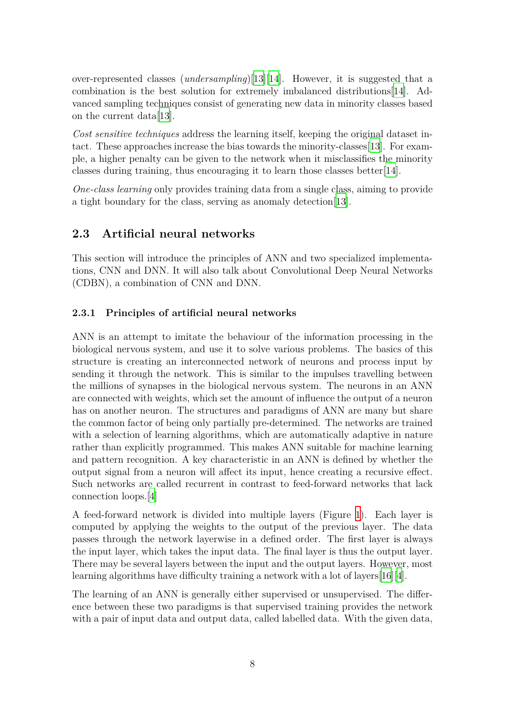over-represented classes (*undersampling*)[\[13\]](#page-24-12)[\[14\]](#page-24-13). However, it is suggested that a combination is the best solution for extremely imbalanced distributions[\[14\]](#page-24-13). Advanced sampling techniques consist of generating new data in minority classes based on the current data[\[13\]](#page-24-12).

*Cost sensitive techniques* address the learning itself, keeping the original dataset intact. These approaches increase the bias towards the minority-classes[\[13](#page-24-12)]. For example, a higher penalty can be given to the network when it misclassifies the minority classes during training, thus encouraging it to learn those classes better[[14\]](#page-24-13).

*One-class learning* only provides training data from a single class, aiming to provide a tight boundary for the class, serving as anomaly detection[\[13\]](#page-24-12).

### <span id="page-8-0"></span>**2.3 Artificial neural networks**

This section will introduce the principles of ANN and two specialized implementations, CNN and DNN. It will also talk about Convolutional Deep Neural Networks (CDBN), a combination of CNN and DNN.

### <span id="page-8-1"></span>**2.3.1 Principles of artificial neural networks**

ANN is an attempt to imitate the behaviour of the information processing in the biological nervous system, and use it to solve various problems. The basics of this structure is creating an interconnected network of neurons and process input by sending it through the network. This is similar to the impulses travelling between the millions of synapses in the biological nervous system. The neurons in an ANN are connected with weights, which set the amount of influence the output of a neuron has on another neuron. The structures and paradigms of ANN are many but share the common factor of being only partially pre-determined. The networks are trained with a selection of learning algorithms, which are automatically adaptive in nature rather than explicitly programmed. This makes ANN suitable for machine learning and pattern recognition. A key characteristic in an ANN is defined by whether the output signal from a neuron will affect its input, hence creating a recursive effect. Such networks are called recurrent in contrast to feed-forward networks that lack connection loops.[\[4](#page-24-3)]

A feed-forward network is divided into multiple layers (Figure [1](#page-9-1)). Each layer is computed by applying the weights to the output of the previous layer. The data passes through the network layerwise in a defined order. The first layer is always the input layer, which takes the input data. The final layer is thus the output layer. There may be several layers between the input and the output layers. However, most learning algorithms have difficulty training a network with a lot of layers[[16](#page-25-0)][[4\]](#page-24-3).

The learning of an ANN is generally either supervised or unsupervised. The difference between these two paradigms is that supervised training provides the network with a pair of input data and output data, called labelled data. With the given data,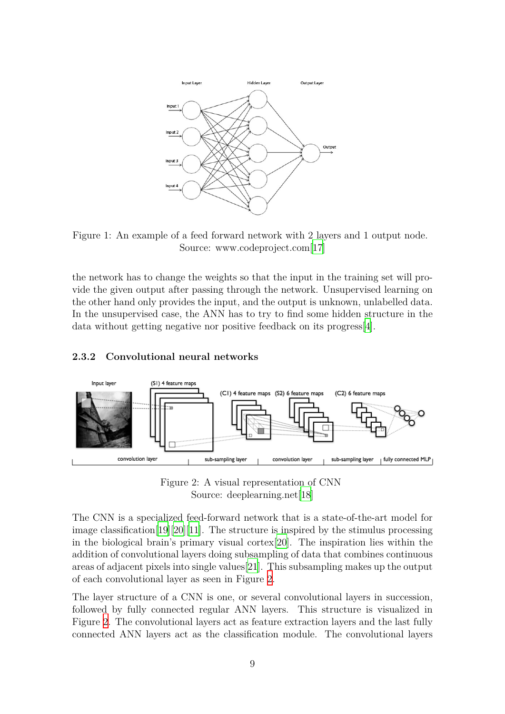

<span id="page-9-1"></span>Figure 1: An example of a feed forward network with 2 layers and 1 output node. Source: www.codeproject.com[[17](#page-25-1)]

the network has to change the weights so that the input in the training set will provide the given output after passing through the network. Unsupervised learning on the other hand only provides the input, and the output is unknown, unlabelled data. In the unsupervised case, the ANN has to try to find some hidden structure in the data without getting negative nor positive feedback on its progress[[4\]](#page-24-3).

#### <span id="page-9-0"></span>**2.3.2 Convolutional neural networks**



<span id="page-9-2"></span>Figure 2: A visual representation of CNN Source: deeplearning.net[[18\]](#page-25-2)

The CNN is a specialized feed-forward network that is a state-of-the-art model for image classification [\[19](#page-25-3)][[20](#page-25-4)][[11\]](#page-24-10). The structure is inspired by the stimulus processing in the biological brain's primary visual cortex[\[20](#page-25-4)]. The inspiration lies within the addition of convolutional layers doing subsampling of data that combines continuous areas of adjacent pixels into single values[\[21\]](#page-25-5). This subsampling makes up the output of each convolutional layer as seen in Figure [2](#page-9-2).

The layer structure of a CNN is one, or several convolutional layers in succession, followed by fully connected regular ANN layers. This structure is visualized in Figure [2](#page-9-2). The convolutional layers act as feature extraction layers and the last fully connected ANN layers act as the classification module. The convolutional layers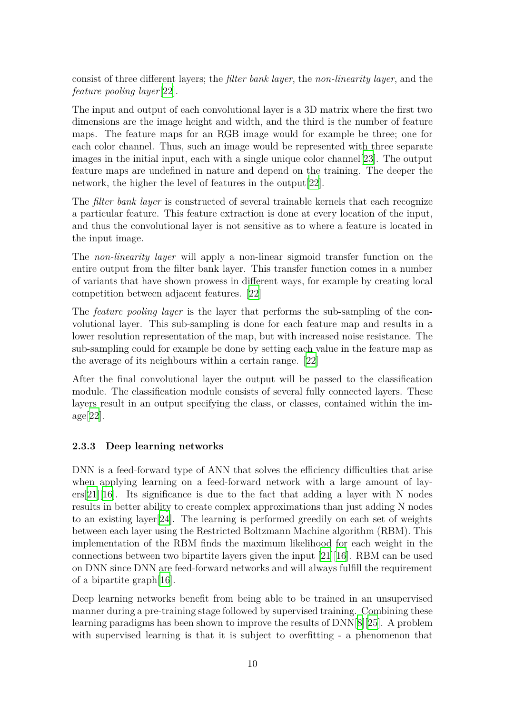consist of three different layers; the *filter bank layer*, the *non-linearity layer*, and the *feature pooling layer*[[22\]](#page-25-6).

The input and output of each convolutional layer is a 3D matrix where the first two dimensions are the image height and width, and the third is the number of feature maps. The feature maps for an RGB image would for example be three; one for each color channel. Thus, such an image would be represented with three separate images in the initial input, each with a single unique color channel [\[23](#page-25-7)]. The output feature maps are undefined in nature and depend on the training. The deeper the network, the higher the level of features in the output[\[22](#page-25-6)].

The *filter bank layer* is constructed of several trainable kernels that each recognize a particular feature. This feature extraction is done at every location of the input, and thus the convolutional layer is not sensitive as to where a feature is located in the input image.

The *non-linearity layer* will apply a non-linear sigmoid transfer function on the entire output from the filter bank layer. This transfer function comes in a number of variants that have shown prowess in different ways, for example by creating local competition between adjacent features. [[22](#page-25-6)]

The *feature pooling layer* is the layer that performs the sub-sampling of the convolutional layer. This sub-sampling is done for each feature map and results in a lower resolution representation of the map, but with increased noise resistance. The sub-sampling could for example be done by setting each value in the feature map as the average of its neighbours within a certain range.[[22\]](#page-25-6)

After the final convolutional layer the output will be passed to the classification module. The classification module consists of several fully connected layers. These layers result in an output specifying the class, or classes, contained within the image[\[22\]](#page-25-6).

### <span id="page-10-0"></span>**2.3.3 Deep learning networks**

DNN is a feed-forward type of ANN that solves the efficiency difficulties that arise when applying learning on a feed-forward network with a large amount of lay- $ers[21][16]$  $ers[21][16]$  $ers[21][16]$  $ers[21][16]$ . Its significance is due to the fact that adding a layer with N nodes results in better ability to create complex approximations than just adding N nodes to an existing layer[\[24\]](#page-25-8). The learning is performed greedily on each set of weights between each layer using the Restricted Boltzmann Machine algorithm (RBM). This implementation of the RBM finds the maximum likelihood for each weight in the connections between two bipartite layers given the input [\[21](#page-25-5)][[16](#page-25-0)]. RBM can be used on DNN since DNN are feed-forward networks and will always fulfill the requirement of a bipartite graph[[16\]](#page-25-0).

Deep learning networks benefit from being able to be trained in an unsupervised manner during a pre-training stage followed by supervised training. Combining these learning paradigms has been shown to improve the results of DNN[\[8](#page-24-7)][[25](#page-25-9)]. A problem with supervised learning is that it is subject to overfitting - a phenomenon that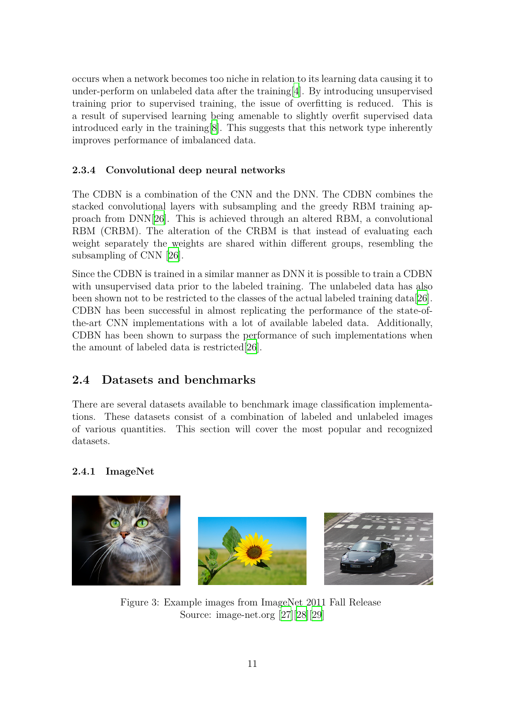occurs when a network becomes too niche in relation to its learning data causing it to under-perform on unlabeled data after the training[[4](#page-24-3)]. By introducing unsupervised training prior to supervised training, the issue of overfitting is reduced. This is a result of supervised learning being amenable to slightly overfit supervised data introduced early in the training[[8\]](#page-24-7). This suggests that this network type inherently improves performance of imbalanced data.

### <span id="page-11-0"></span>**2.3.4 Convolutional deep neural networks**

The CDBN is a combination of the CNN and the DNN. The CDBN combines the stacked convolutional layers with subsampling and the greedy RBM training approach from DNN[[26\]](#page-25-10). This is achieved through an altered RBM, a convolutional RBM (CRBM). The alteration of the CRBM is that instead of evaluating each weight separately the weights are shared within different groups, resembling the subsampling of CNN [[26](#page-25-10)].

Since the CDBN is trained in a similar manner as DNN it is possible to train a CDBN with unsupervised data prior to the labeled training. The unlabeled data has also been shown not to be restricted to the classes of the actual labeled training data[\[26\]](#page-25-10). CDBN has been successful in almost replicating the performance of the state-ofthe-art CNN implementations with a lot of available labeled data. Additionally, CDBN has been shown to surpass the performance of such implementations when the amount of labeled data is restricted[[26\]](#page-25-10).

### <span id="page-11-1"></span>**2.4 Datasets and benchmarks**

There are several datasets available to benchmark image classification implementations. These datasets consist of a combination of labeled and unlabeled images of various quantities. This section will cover the most popular and recognized datasets.

### <span id="page-11-2"></span>**2.4.1 ImageNet**

<span id="page-11-3"></span>

Figure 3: Example images from ImageNet 2011 Fall Release Source: image-net.org [\[27](#page-25-11)][[28](#page-26-0)][[29\]](#page-26-1)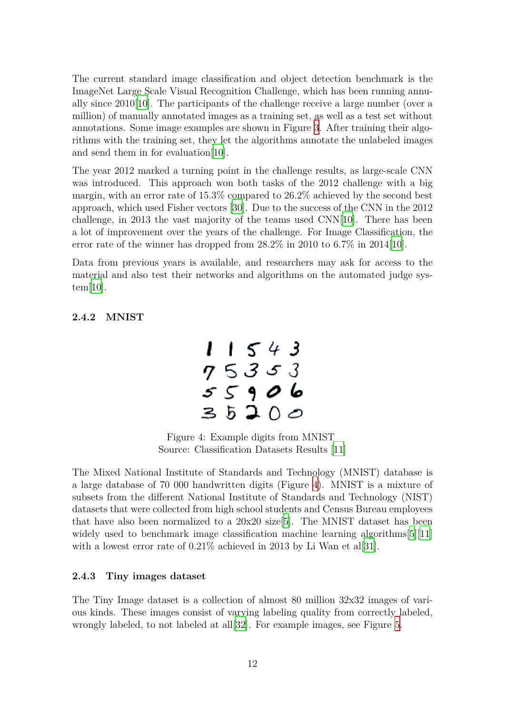The current standard image classification and object detection benchmark is the ImageNet Large Scale Visual Recognition Challenge, which has been running annually since  $2010[10]$  $2010[10]$ . The participants of the challenge receive a large number (over a million) of manually annotated images as a training set, as well as a test set without annotations. Some image examples are shown in Figure [3](#page-11-3). After training their algorithms with the training set, they let the algorithms annotate the unlabeled images and send them in for evaluation[[10](#page-24-9)].

The year 2012 marked a turning point in the challenge results, as large-scale CNN was introduced. This approach won both tasks of the 2012 challenge with a big margin, with an error rate of 15.3% compared to 26.2% achieved by the second best approach, which used Fisher vectors [\[30\]](#page-26-2). Due to the success of the CNN in the 2012 challenge, in 2013 the vast majority of the teams used CNN[\[10\]](#page-24-9). There has been a lot of improvement over the years of the challenge. For Image Classification, the error rate of the winner has dropped from  $28.2\%$  in 2010 to 6.7% in 2014[\[10\]](#page-24-9).

Data from previous years is available, and researchers may ask for access to the material and also test their networks and algorithms on the automated judge system[[10\]](#page-24-9).

#### <span id="page-12-0"></span>**2.4.2 MNIST**



<span id="page-12-3"></span>Figure 4: Example digits from MNIST Source: Classification Datasets Results [\[11](#page-24-10)]

The Mixed National Institute of Standards and Technology (MNIST) database is a large database of 70 000 handwritten digits (Figure [4\)](#page-12-3). MNIST is a mixture of subsets from the different National Institute of Standards and Technology (NIST) datasets that were collected from high school students and Census Bureau employees that have also been normalized to a  $20x20$  size [\[5](#page-24-4)]. The MNIST dataset has been widely used to benchmark image classification machine learning algorithms [[5\]](#page-24-4) [\[11\]](#page-24-10) with a lowest error rate of  $0.21\%$  achieved in 2013 by Li Wan et al[\[31](#page-26-3)].

#### <span id="page-12-1"></span>**2.4.3 Tiny images dataset**

<span id="page-12-2"></span>The Tiny Image dataset is a collection of almost 80 million 32x32 images of various kinds. These images consist of varying labeling quality from correctly labeled, wrongly labeled, to not labeled at all[[32\]](#page-26-4). For example images, see Figure [5](#page-13-2).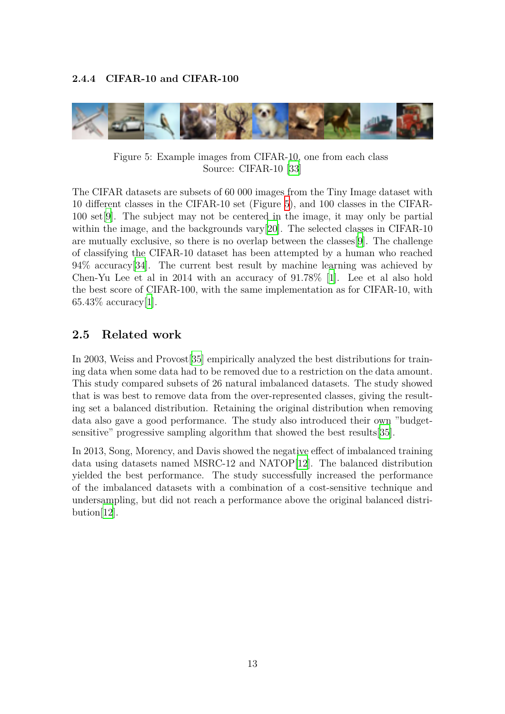

Figure 5: Example images from CIFAR-10, one from each class Source: CIFAR-10 [[33\]](#page-26-5)

<span id="page-13-2"></span>The CIFAR datasets are subsets of 60 000 images from the Tiny Image dataset with 10 different classes in the CIFAR-10 set (Figure [5](#page-13-2)), and 100 classes in the CIFAR-100 set[[9\]](#page-24-8). The subject may not be centered in the image, it may only be partial within the image, and the backgrounds vary[\[20](#page-25-4)]. The selected classes in CIFAR-10 are mutually exclusive, so there is no overlap between the classes[[9\]](#page-24-8). The challenge of classifying the CIFAR-10 dataset has been attempted by a human who reached 94% accuracy[[34](#page-26-6)]. The current best result by machine learning was achieved by Chen-Yu Lee et al in 2014 with an accuracy of 91.78% [\[1\]](#page-24-0). Lee et al also hold the best score of CIFAR-100, with the same implementation as for CIFAR-10, with  $65.43\%$  accuracy[\[1](#page-24-0)].

### <span id="page-13-0"></span>**2.5 Related work**

In 2003, Weiss and Provost[[35\]](#page-26-7) empirically analyzed the best distributions for training data when some data had to be removed due to a restriction on the data amount. This study compared subsets of 26 natural imbalanced datasets. The study showed that is was best to remove data from the over-represented classes, giving the resulting set a balanced distribution. Retaining the original distribution when removing data also gave a good performance. The study also introduced their own "budgetsensitive" progressive sampling algorithm that showed the best results[[35\]](#page-26-7).

<span id="page-13-1"></span>In 2013, Song, Morency, and Davis showed the negative effect of imbalanced training data using datasets named MSRC-12 and NATOP[\[12\]](#page-24-11). The balanced distribution yielded the best performance. The study successfully increased the performance of the imbalanced datasets with a combination of a cost-sensitive technique and undersampling, but did not reach a performance above the original balanced distribution[\[12](#page-24-11)].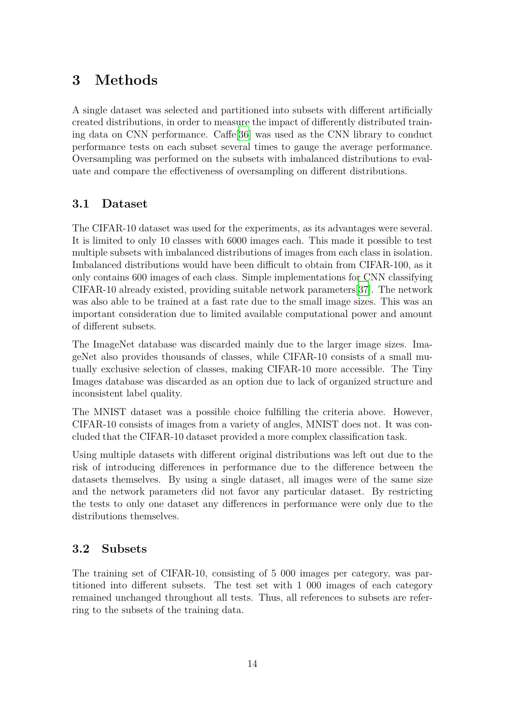### **3 Methods**

A single dataset was selected and partitioned into subsets with different artificially created distributions, in order to measure the impact of differently distributed training data on CNN performance. Caffe[[36](#page-26-8)] was used as the CNN library to conduct performance tests on each subset several times to gauge the average performance. Oversampling was performed on the subsets with imbalanced distributions to evaluate and compare the effectiveness of oversampling on different distributions.

### <span id="page-14-0"></span>**3.1 Dataset**

The CIFAR-10 dataset was used for the experiments, as its advantages were several. It is limited to only 10 classes with 6000 images each. This made it possible to test multiple subsets with imbalanced distributions of images from each class in isolation. Imbalanced distributions would have been difficult to obtain from CIFAR-100, as it only contains 600 images of each class. Simple implementations for CNN classifying CIFAR-10 already existed, providing suitable network parameters[[37](#page-26-9)]. The network was also able to be trained at a fast rate due to the small image sizes. This was an important consideration due to limited available computational power and amount of different subsets.

The ImageNet database was discarded mainly due to the larger image sizes. ImageNet also provides thousands of classes, while CIFAR-10 consists of a small mutually exclusive selection of classes, making CIFAR-10 more accessible. The Tiny Images database was discarded as an option due to lack of organized structure and inconsistent label quality.

The MNIST dataset was a possible choice fulfilling the criteria above. However, CIFAR-10 consists of images from a variety of angles, MNIST does not. It was concluded that the CIFAR-10 dataset provided a more complex classification task.

Using multiple datasets with different original distributions was left out due to the risk of introducing differences in performance due to the difference between the datasets themselves. By using a single dataset, all images were of the same size and the network parameters did not favor any particular dataset. By restricting the tests to only one dataset any differences in performance were only due to the distributions themselves.

### <span id="page-14-1"></span>**3.2 Subsets**

The training set of CIFAR-10, consisting of 5 000 images per category, was partitioned into different subsets. The test set with 1 000 images of each category remained unchanged throughout all tests. Thus, all references to subsets are referring to the subsets of the training data.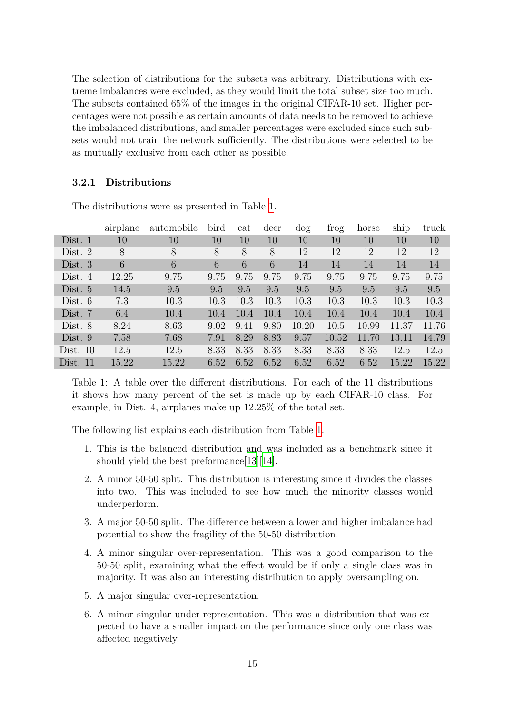The selection of distributions for the subsets was arbitrary. Distributions with extreme imbalances were excluded, as they would limit the total subset size too much. The subsets contained 65% of the images in the original CIFAR-10 set. Higher percentages were not possible as certain amounts of data needs to be removed to achieve the imbalanced distributions, and smaller percentages were excluded since such subsets would not train the network sufficiently. The distributions were selected to be as mutually exclusive from each other as possible.

#### <span id="page-15-0"></span>**3.2.1 Distributions**

|              | airplane | automobile | bird | cat  | deer | $\log$ | trog  | horse | ship  | truck |
|--------------|----------|------------|------|------|------|--------|-------|-------|-------|-------|
| Dist. 1      | 10       | 10         | 10   | 10   | 10   | 10     | 10    | 10    | 10    | 10    |
| Dist. $2$    | 8        | 8          | 8    | 8    | 8    | 12     | 12    | 12    | 12    | 12    |
| Dist. $3$    | 6        | 6          | 6    | 6    | 6    | 14     | 14    | 14    | 14    | 14    |
| Dist. $4$    | 12.25    | 9.75       | 9.75 | 9.75 | 9.75 | 9.75   | 9.75  | 9.75  | 9.75  | 9.75  |
| Dist. 5      | 14.5     | 9.5        | 9.5  | 9.5  | 9.5  | 9.5    | 9.5   | 9.5   | 9.5   | 9.5   |
| Dist. $6$    | 7.3      | 10.3       | 10.3 | 10.3 | 10.3 | 10.3   | 10.3  | 10.3  | 10.3  | 10.3  |
| Dist. 7      | 6.4      | 10.4       | 10.4 | 10.4 | 10.4 | 10.4   | 10.4  | 10.4  | 10.4  | 10.4  |
| Dist. 8      | 8.24     | 8.63       | 9.02 | 9.41 | 9.80 | 10.20  | 10.5  | 10.99 | 11.37 | 11.76 |
| Dist. 9      | 7.58     | 7.68       | 7.91 | 8.29 | 8.83 | 9.57   | 10.52 | 11.70 | 13.11 | 14.79 |
| Dist. $10$   | 12.5     | 12.5       | 8.33 | 8.33 | 8.33 | 8.33   | 8.33  | 8.33  | 12.5  | 12.5  |
| Dist.<br>-11 | 15.22    | 15.22      | 6.52 | 6.52 | 6.52 | 6.52   | 6.52  | 6.52  | 15.22 | 15.22 |

The distributions were as presented in Table [1.](#page-15-1)

<span id="page-15-1"></span>Table 1: A table over the different distributions. For each of the 11 distributions it shows how many percent of the set is made up by each CIFAR-10 class. For example, in Dist. 4, airplanes make up 12.25% of the total set.

The following list explains each distribution from Table [1](#page-15-1).

- 1. This is the balanced distribution and was included as a benchmark since it should yield the best preformance [[13\]](#page-24-12) [\[14\]](#page-24-13).
- 2. A minor 50-50 split. This distribution is interesting since it divides the classes into two. This was included to see how much the minority classes would underperform.
- 3. A major 50-50 split. The difference between a lower and higher imbalance had potential to show the fragility of the 50-50 distribution.
- 4. A minor singular over-representation. This was a good comparison to the 50-50 split, examining what the effect would be if only a single class was in majority. It was also an interesting distribution to apply oversampling on.
- 5. A major singular over-representation.
- 6. A minor singular under-representation. This was a distribution that was expected to have a smaller impact on the performance since only one class was affected negatively.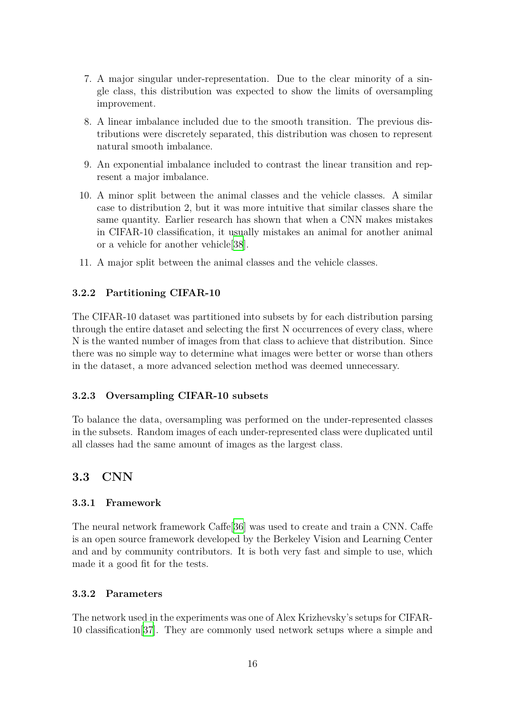- 7. A major singular under-representation. Due to the clear minority of a single class, this distribution was expected to show the limits of oversampling improvement.
- 8. A linear imbalance included due to the smooth transition. The previous distributions were discretely separated, this distribution was chosen to represent natural smooth imbalance.
- 9. An exponential imbalance included to contrast the linear transition and represent a major imbalance.
- 10. A minor split between the animal classes and the vehicle classes. A similar case to distribution 2, but it was more intuitive that similar classes share the same quantity. Earlier research has shown that when a CNN makes mistakes in CIFAR-10 classification, it usually mistakes an animal for another animal or a vehicle for another vehicle[\[38\]](#page-26-10).
- <span id="page-16-0"></span>11. A major split between the animal classes and the vehicle classes.

#### **3.2.2 Partitioning CIFAR-10**

The CIFAR-10 dataset was partitioned into subsets by for each distribution parsing through the entire dataset and selecting the first N occurrences of every class, where N is the wanted number of images from that class to achieve that distribution. Since there was no simple way to determine what images were better or worse than others in the dataset, a more advanced selection method was deemed unnecessary.

#### <span id="page-16-1"></span>**3.2.3 Oversampling CIFAR-10 subsets**

To balance the data, oversampling was performed on the under-represented classes in the subsets. Random images of each under-represented class were duplicated until all classes had the same amount of images as the largest class.

#### <span id="page-16-2"></span>**3.3 CNN**

#### <span id="page-16-3"></span>**3.3.1 Framework**

The neural network framework Caffe[\[36](#page-26-8)] was used to create and train a CNN. Caffe is an open source framework developed by the Berkeley Vision and Learning Center and and by community contributors. It is both very fast and simple to use, which made it a good fit for the tests.

#### <span id="page-16-4"></span>**3.3.2 Parameters**

The network used in the experiments was one of Alex Krizhevsky's setups for CIFAR-10 classification[[37\]](#page-26-9). They are commonly used network setups where a simple and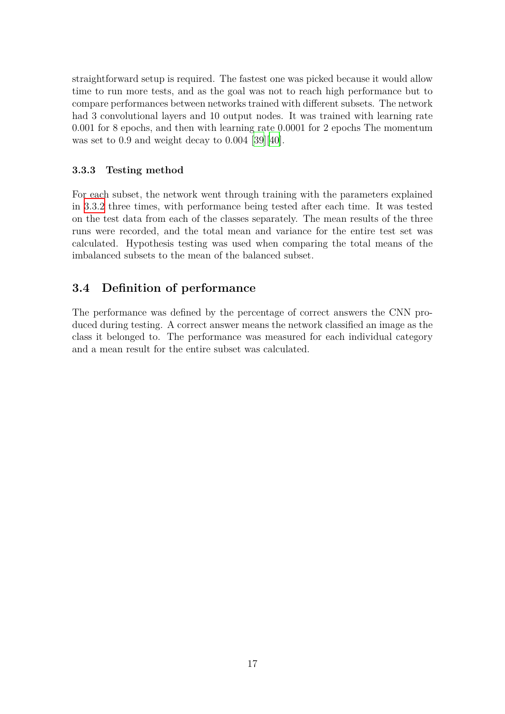straightforward setup is required. The fastest one was picked because it would allow time to run more tests, and as the goal was not to reach high performance but to compare performances between networks trained with different subsets. The network had 3 convolutional layers and 10 output nodes. It was trained with learning rate 0.001 for 8 epochs, and then with learning rate 0.0001 for 2 epochs The momentum was set to 0.9 and weight decay to 0.004 [\[39](#page-26-11)][[40](#page-26-12)].

#### <span id="page-17-0"></span>**3.3.3 Testing method**

For each subset, the network went through training with the parameters explained in [3.3.2](#page-16-4) three times, with performance being tested after each time. It was tested on the test data from each of the classes separately. The mean results of the three runs were recorded, and the total mean and variance for the entire test set was calculated. Hypothesis testing was used when comparing the total means of the imbalanced subsets to the mean of the balanced subset.

### <span id="page-17-1"></span>**3.4 Definition of performance**

<span id="page-17-2"></span>The performance was defined by the percentage of correct answers the CNN produced during testing. A correct answer means the network classified an image as the class it belonged to. The performance was measured for each individual category and a mean result for the entire subset was calculated.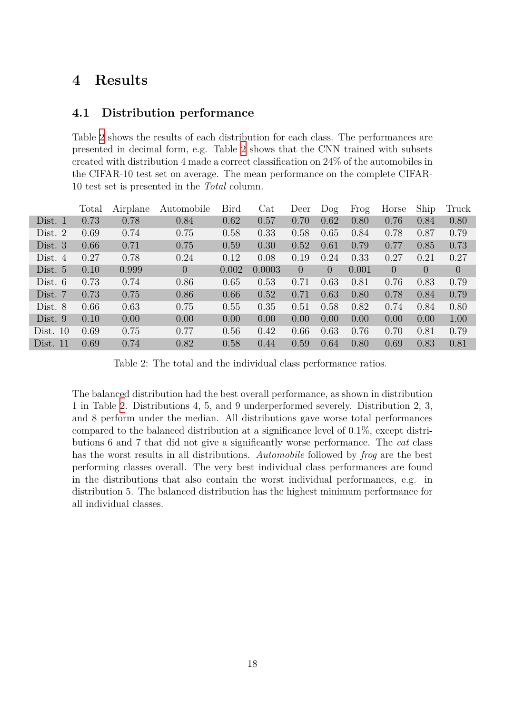### **4 Results**

### <span id="page-18-0"></span>**4.1 Distribution performance**

Table [2](#page-18-1) shows the results of each distribution for each class. The performances are presented in decimal form, e.g. Table [2](#page-18-1) shows that the CNN trained with subsets created with distribution 4 made a correct classification on 24% of the automobiles in the CIFAR-10 test set on average. The mean performance on the complete CIFAR-10 test set is presented in the *Total* column.

|            | Total | Airplane | Automobile     | Bird  | Cat    | Deer           | $\log$   | Frog  | Horse          | Ship     | Truck          |
|------------|-------|----------|----------------|-------|--------|----------------|----------|-------|----------------|----------|----------------|
| Dist. 1    | 0.73  | 0.78     | 0.84           | 0.62  | 0.57   | 0.70           | 0.62     | 0.80  | 0.76           | 0.84     | 0.80           |
| Dist. $2$  | 0.69  | 0.74     | 0.75           | 0.58  | 0.33   | 0.58           | 0.65     | 0.84  | 0.78           | 0.87     | 0.79           |
| Dist. $3$  | 0.66  | 0.71     | 0.75           | 0.59  | 0.30   | 0.52           | 0.61     | 0.79  | 0.77           | 0.85     | 0.73           |
| Dist. $4$  | 0.27  | 0.78     | 0.24           | 0.12  | 0.08   | 0.19           | 0.24     | 0.33  | 0.27           | 0.21     | 0.27           |
| Dist. $5$  | 0.10  | 0.999    | $\overline{0}$ | 0.002 | 0.0003 | $\overline{0}$ | $\theta$ | 0.001 | $\overline{0}$ | $\theta$ | $\overline{0}$ |
| Dist. $6$  | 0.73  | 0.74     | 0.86           | 0.65  | 0.53   | 0.71           | 0.63     | 0.81  | 0.76           | 0.83     | 0.79           |
| Dist. 7    | 0.73  | 0.75     | 0.86           | 0.66  | 0.52   | 0.71           | 0.63     | 0.80  | 0.78           | 0.84     | 0.79           |
| Dist. 8    | 0.66  | 0.63     | 0.75           | 0.55  | 0.35   | 0.51           | 0.58     | 0.82  | 0.74           | 0.84     | 0.80           |
| Dist. 9    | 0.10  | 0.00     | 0.00           | 0.00  | 0.00   | 0.00           | 0.00     | 0.00  | 0.00           | 0.00     | 1.00           |
| Dist. $10$ | 0.69  | 0.75     | 0.77           | 0.56  | 0.42   | 0.66           | 0.63     | 0.76  | 0.70           | 0.81     | 0.79           |
| Dist. $11$ | 0.69  | 0.74     | 0.82           | 0.58  | 0.44   | 0.59           | 0.64     | 0.80  | 0.69           | 0.83     | 0.81           |

<span id="page-18-1"></span>Table 2: The total and the individual class performance ratios.

The balanced distribution had the best overall performance, as shown in distribution 1 in Table [2](#page-18-1). Distributions 4, 5, and 9 underperformed severely. Distribution 2, 3, and 8 perform under the median. All distributions gave worse total performances compared to the balanced distribution at a significance level of 0.1%, except distributions 6 and 7 that did not give a significantly worse performance. The *cat* class has the worst results in all distributions. *Automobile* followed by *frog* are the best performing classes overall. The very best individual class performances are found in the distributions that also contain the worst individual performances, e.g. in distribution 5. The balanced distribution has the highest minimum performance for all individual classes.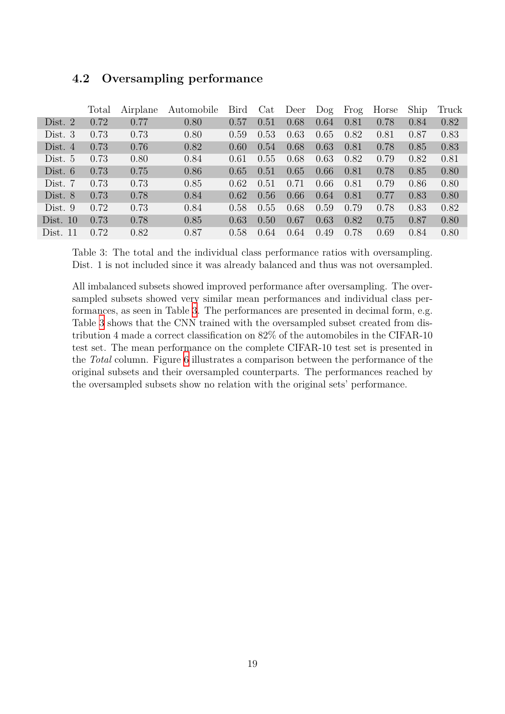|            | Total | Airplane | Automobile | Bird           | Cat  | Deer | $\log$ | Frog | Horse | Ship | Truck |
|------------|-------|----------|------------|----------------|------|------|--------|------|-------|------|-------|
| Dist. $2$  | 0.72  | 0.77     | 0.80       | 0.57           | 0.51 | 0.68 | 0.64   | 0.81 | 0.78  | 0.84 | 0.82  |
| Dist. $3$  | 0.73  | 0.73     | 0.80       | 0.59           | 0.53 | 0.63 | 0.65   | 0.82 | 0.81  | 0.87 | 0.83  |
| Dist. $4$  | 0.73  | 0.76     | 0.82       | $0.60^{\circ}$ | 0.54 | 0.68 | 0.63   | 0.81 | 0.78  | 0.85 | 0.83  |
| Dist. $5$  | 0.73  | 0.80     | 0.84       | 0.61           | 0.55 | 0.68 | 0.63   | 0.82 | 0.79  | 0.82 | 0.81  |
| Dist. $6$  | 0.73  | 0.75     | 0.86       | 0.65           | 0.51 | 0.65 | 0.66   | 0.81 | 0.78  | 0.85 | 0.80  |
| Dist. $7$  | 0.73  | 0.73     | 0.85       | 0.62           | 0.51 | 0.71 | 0.66   | 0.81 | 0.79  | 0.86 | 0.80  |
| Dist. $8$  | 0.73  | 0.78     | 0.84       | 0.62           | 0.56 | 0.66 | 0.64   | 0.81 | 0.77  | 0.83 | 0.80  |
| Dist. $9$  | 0.72  | 0.73     | 0.84       | 0.58           | 0.55 | 0.68 | 0.59   | 0.79 | 0.78  | 0.83 | 0.82  |
| Dist. $10$ | 0.73  | 0.78     | 0.85       | 0.63           | 0.50 | 0.67 | 0.63   | 0.82 | 0.75  | 0.87 | 0.80  |
| Dist. $11$ | 0.72  | 0.82     | 0.87       | 0.58           | 0.64 | 0.64 | 0.49   | 0.78 | 0.69  | 0.84 | 0.80  |

### <span id="page-19-0"></span>**4.2 Oversampling performance**

<span id="page-19-1"></span>Table 3: The total and the individual class performance ratios with oversampling. Dist. 1 is not included since it was already balanced and thus was not oversampled.

All imbalanced subsets showed improved performance after oversampling. The oversampled subsets showed very similar mean performances and individual class performances, as seen in Table [3.](#page-19-1) The performances are presented in decimal form, e.g. Table [3](#page-19-1) shows that the CNN trained with the oversampled subset created from distribution 4 made a correct classification on 82% of the automobiles in the CIFAR-10 test set. The mean performance on the complete CIFAR-10 test set is presented in the *Total* column. Figure [6](#page-20-1) illustrates a comparison between the performance of the original subsets and their oversampled counterparts. The performances reached by the oversampled subsets show no relation with the original sets' performance.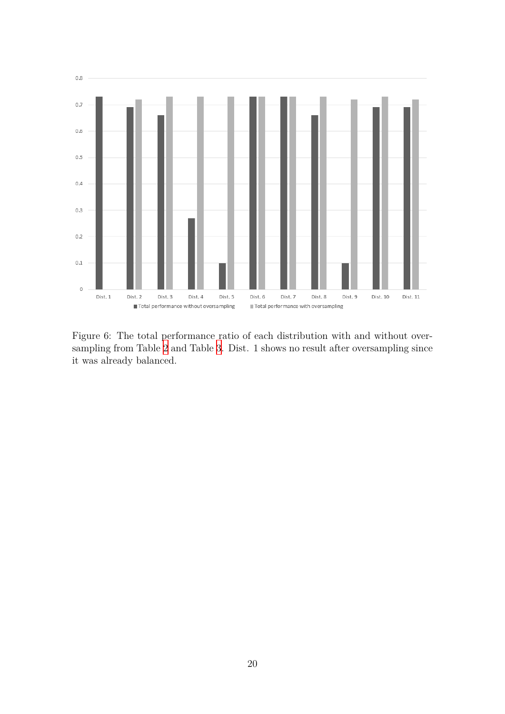

<span id="page-20-1"></span><span id="page-20-0"></span>Figure 6: The total performance ratio of each distribution with and without oversampling from Table [2](#page-18-1) and Table [3](#page-19-1). Dist. 1 shows no result after oversampling since it was already balanced.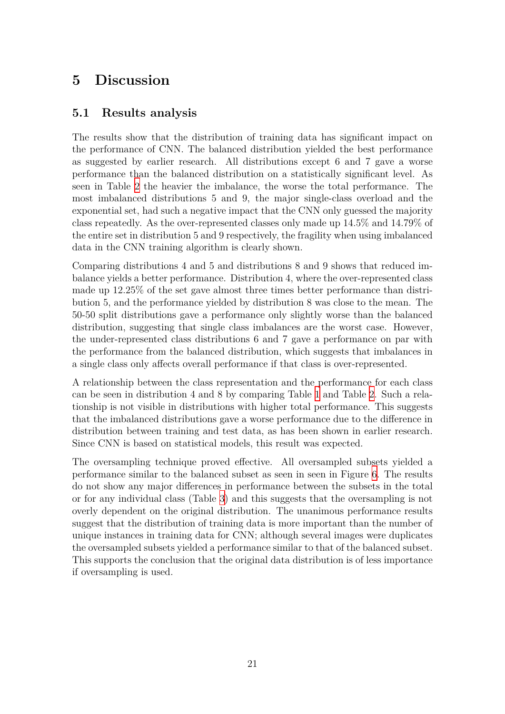### **5 Discussion**

### <span id="page-21-0"></span>**5.1 Results analysis**

The results show that the distribution of training data has significant impact on the performance of CNN. The balanced distribution yielded the best performance as suggested by earlier research. All distributions except 6 and 7 gave a worse performance than the balanced distribution on a statistically significant level. As seen in Table [2](#page-18-1) the heavier the imbalance, the worse the total performance. The most imbalanced distributions 5 and 9, the major single-class overload and the exponential set, had such a negative impact that the CNN only guessed the majority class repeatedly. As the over-represented classes only made up 14.5% and 14.79% of the entire set in distribution 5 and 9 respectively, the fragility when using imbalanced data in the CNN training algorithm is clearly shown.

Comparing distributions 4 and 5 and distributions 8 and 9 shows that reduced imbalance yields a better performance. Distribution 4, where the over-represented class made up 12.25% of the set gave almost three times better performance than distribution 5, and the performance yielded by distribution 8 was close to the mean. The 50-50 split distributions gave a performance only slightly worse than the balanced distribution, suggesting that single class imbalances are the worst case. However, the under-represented class distributions 6 and 7 gave a performance on par with the performance from the balanced distribution, which suggests that imbalances in a single class only affects overall performance if that class is over-represented.

A relationship between the class representation and the performance for each class can be seen in distribution 4 and 8 by comparing Table [1](#page-15-1) and Table [2](#page-18-1). Such a relationship is not visible in distributions with higher total performance. This suggests that the imbalanced distributions gave a worse performance due to the difference in distribution between training and test data, as has been shown in earlier research. Since CNN is based on statistical models, this result was expected.

<span id="page-21-1"></span>The oversampling technique proved effective. All oversampled subsets yielded a performance similar to the balanced subset as seen in seen in Figure [6](#page-20-1). The results do not show any major differences in performance between the subsets in the total or for any individual class (Table [3\)](#page-19-1) and this suggests that the oversampling is not overly dependent on the original distribution. The unanimous performance results suggest that the distribution of training data is more important than the number of unique instances in training data for CNN; although several images were duplicates the oversampled subsets yielded a performance similar to that of the balanced subset. This supports the conclusion that the original data distribution is of less importance if oversampling is used.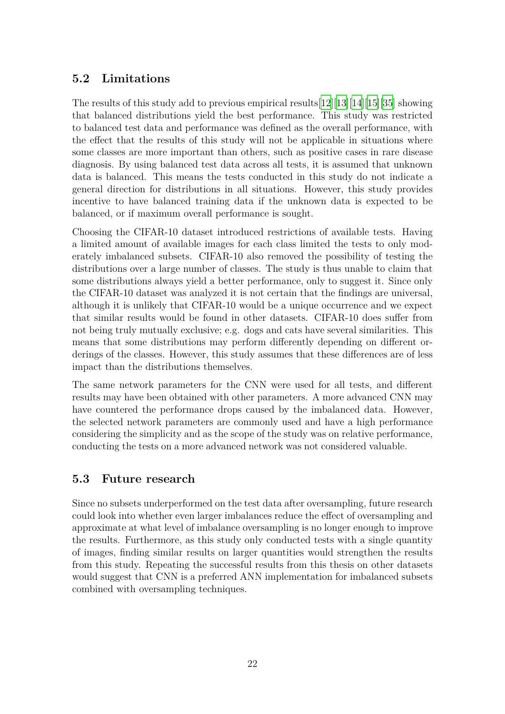### **5.2 Limitations**

The results of this study add to previous empirical results[[12](#page-24-11)][[13](#page-24-12)][[14\]](#page-24-13)[\[15\]](#page-24-14)[\[35](#page-26-7)] showing that balanced distributions yield the best performance. This study was restricted to balanced test data and performance was defined as the overall performance, with the effect that the results of this study will not be applicable in situations where some classes are more important than others, such as positive cases in rare disease diagnosis. By using balanced test data across all tests, it is assumed that unknown data is balanced. This means the tests conducted in this study do not indicate a general direction for distributions in all situations. However, this study provides incentive to have balanced training data if the unknown data is expected to be balanced, or if maximum overall performance is sought.

Choosing the CIFAR-10 dataset introduced restrictions of available tests. Having a limited amount of available images for each class limited the tests to only moderately imbalanced subsets. CIFAR-10 also removed the possibility of testing the distributions over a large number of classes. The study is thus unable to claim that some distributions always yield a better performance, only to suggest it. Since only the CIFAR-10 dataset was analyzed it is not certain that the findings are universal, although it is unlikely that CIFAR-10 would be a unique occurrence and we expect that similar results would be found in other datasets. CIFAR-10 does suffer from not being truly mutually exclusive; e.g. dogs and cats have several similarities. This means that some distributions may perform differently depending on different orderings of the classes. However, this study assumes that these differences are of less impact than the distributions themselves.

The same network parameters for the CNN were used for all tests, and different results may have been obtained with other parameters. A more advanced CNN may have countered the performance drops caused by the imbalanced data. However, the selected network parameters are commonly used and have a high performance considering the simplicity and as the scope of the study was on relative performance, conducting the tests on a more advanced network was not considered valuable.

### <span id="page-22-0"></span>**5.3 Future research**

Since no subsets underperformed on the test data after oversampling, future research could look into whether even larger imbalances reduce the effect of oversampling and approximate at what level of imbalance oversampling is no longer enough to improve the results. Furthermore, as this study only conducted tests with a single quantity of images, finding similar results on larger quantities would strengthen the results from this study. Repeating the successful results from this thesis on other datasets would suggest that CNN is a preferred ANN implementation for imbalanced subsets combined with oversampling techniques.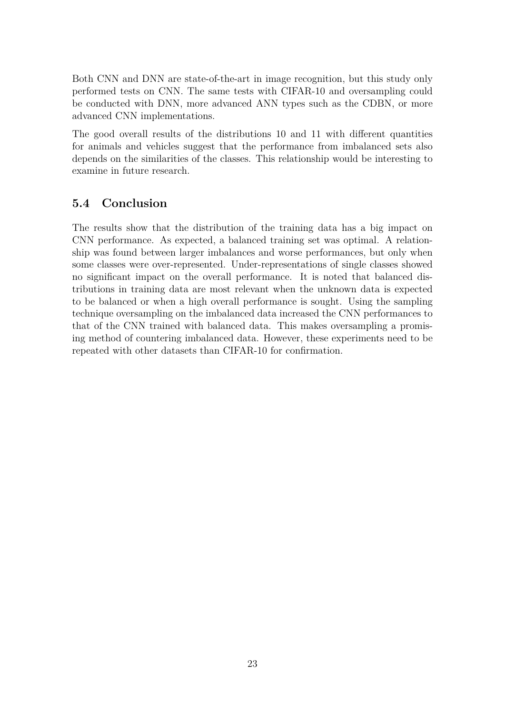Both CNN and DNN are state-of-the-art in image recognition, but this study only performed tests on CNN. The same tests with CIFAR-10 and oversampling could be conducted with DNN, more advanced ANN types such as the CDBN, or more advanced CNN implementations.

The good overall results of the distributions 10 and 11 with different quantities for animals and vehicles suggest that the performance from imbalanced sets also depends on the similarities of the classes. This relationship would be interesting to examine in future research.

### <span id="page-23-0"></span>**5.4 Conclusion**

The results show that the distribution of the training data has a big impact on CNN performance. As expected, a balanced training set was optimal. A relationship was found between larger imbalances and worse performances, but only when some classes were over-represented. Under-representations of single classes showed no significant impact on the overall performance. It is noted that balanced distributions in training data are most relevant when the unknown data is expected to be balanced or when a high overall performance is sought. Using the sampling technique oversampling on the imbalanced data increased the CNN performances to that of the CNN trained with balanced data. This makes oversampling a promising method of countering imbalanced data. However, these experiments need to be repeated with other datasets than CIFAR-10 for confirmation.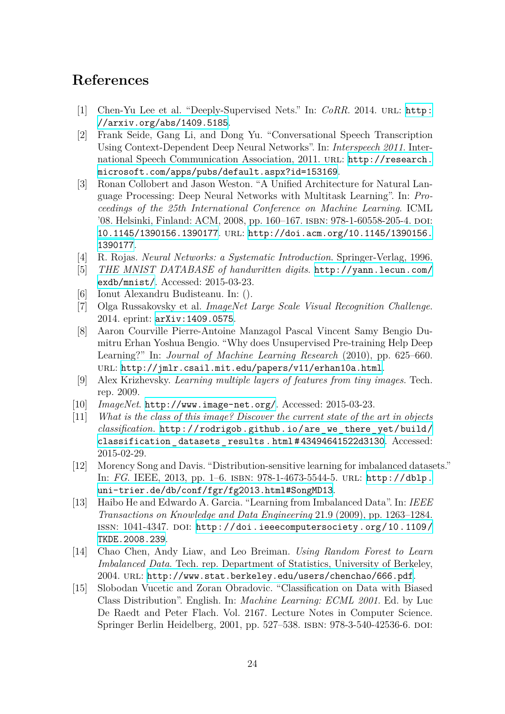### **References**

- <span id="page-24-0"></span>[1] Chen-Yu Lee et al. "Deeply-Supervised Nets." In: *CoRR.* 2014. URL: [http:](http://arxiv.org/abs/1409.5185) [//arxiv.org/abs/1409.5185](http://arxiv.org/abs/1409.5185).
- <span id="page-24-1"></span>[2] Frank Seide, Gang Li, and Dong Yu. "Conversational Speech Transcription Using Context-Dependent Deep Neural Networks". In: *Interspeech 2011*. International Speech Communication Association, 2011. URL: [http://research.](http://research.microsoft.com/apps/pubs/default.aspx?id=153169) [microsoft.com/apps/pubs/default.aspx?id=153169](http://research.microsoft.com/apps/pubs/default.aspx?id=153169).
- <span id="page-24-2"></span>[3] Ronan Collobert and Jason Weston. "A Unified Architecture for Natural Language Processing: Deep Neural Networks with Multitask Learning". In: *Proceedings of the 25th International Conference on Machine Learning*. ICML '08. Helsinki, Finland: ACM, 2008, pp. 160-167. ISBN: 978-1-60558-205-4. DOI: [10.1145/1390156.1390177](http://dx.doi.org/10.1145/1390156.1390177). url: [http://doi.acm.org/10.1145/1390156.](http://doi.acm.org/10.1145/1390156.1390177) [1390177](http://doi.acm.org/10.1145/1390156.1390177).
- <span id="page-24-3"></span>[4] R. Rojas. *Neural Networks: a Systematic Introduction*. Springer-Verlag, 1996.
- <span id="page-24-4"></span>[5] *THE MNIST DATABASE of handwritten digits*. [http://yann.lecun.com/](http://yann.lecun.com/exdb/mnist/) [exdb/mnist/](http://yann.lecun.com/exdb/mnist/). Accessed: 2015-03-23.
- <span id="page-24-5"></span>[6] Ionut Alexandru Budisteanu. In: ().
- <span id="page-24-6"></span>[7] Olga Russakovsky et al. *ImageNet Large Scale Visual Recognition Challenge*. 2014. eprint: <arXiv:1409.0575>.
- <span id="page-24-7"></span>[8] Aaron Courville Pierre-Antoine Manzagol Pascal Vincent Samy Bengio Dumitru Erhan Yoshua Bengio. "Why does Unsupervised Pre-training Help Deep Learning?" In: *Journal of Machine Learning Research* (2010), pp. 625–660. url: <http://jmlr.csail.mit.edu/papers/v11/erhan10a.html>.
- <span id="page-24-8"></span>[9] Alex Krizhevsky. *Learning multiple layers of features from tiny images*. Tech. rep. 2009.
- <span id="page-24-9"></span>[10] *ImageNet*. <http://www.image-net.org/>. Accessed: 2015-03-23.
- <span id="page-24-10"></span>[11] *What is the class of this image? Discover the current state of the art in objects classification.* [http://rodrigob.github.io/are\\_we\\_there\\_yet/build/](http://rodrigob.github.io/are_we_there_yet/build/classification_datasets_results.html##43494641522d3130) classification datasets results.html#43494641522d3130. Accessed: 2015-02-29.
- <span id="page-24-11"></span>[12] Morency Song and Davis. "Distribution-sensitive learning for imbalanced datasets." In: *FG*. IEEE, 2013, pp. 1–6. isbn: 978-1-4673-5544-5. url: [http://dblp.](http://dblp.uni-trier.de/db/conf/fgr/fg2013.html#SongMD13) [uni-trier.de/db/conf/fgr/fg2013.html#SongMD13](http://dblp.uni-trier.de/db/conf/fgr/fg2013.html#SongMD13).
- <span id="page-24-12"></span>[13] Haibo He and Edwardo A. Garcia. "Learning from Imbalanced Data". In: *IEEE Transactions on Knowledge and Data Engineering* 21.9 (2009), pp. 1263–1284. ISSN: 1041-4347. DOI: [http://doi.ieeecomputersociety.org/10.1109/](http://dx.doi.org/http://doi.ieeecomputersociety.org/10.1109/TKDE.2008.239) [TKDE.2008.239](http://dx.doi.org/http://doi.ieeecomputersociety.org/10.1109/TKDE.2008.239).
- <span id="page-24-13"></span>[14] Chao Chen, Andy Liaw, and Leo Breiman. *Using Random Forest to Learn Imbalanced Data*. Tech. rep. Department of Statistics, University of Berkeley, 2004. url: <http://www.stat.berkeley.edu/users/chenchao/666.pdf>.
- <span id="page-24-14"></span>[15] Slobodan Vucetic and Zoran Obradovic. "Classification on Data with Biased Class Distribution". English. In: *Machine Learning: ECML 2001*. Ed. by Luc De Raedt and Peter Flach. Vol. 2167. Lecture Notes in Computer Science. Springer Berlin Heidelberg, 2001, pp. 527–538. isbn: 978-3-540-42536-6. doi: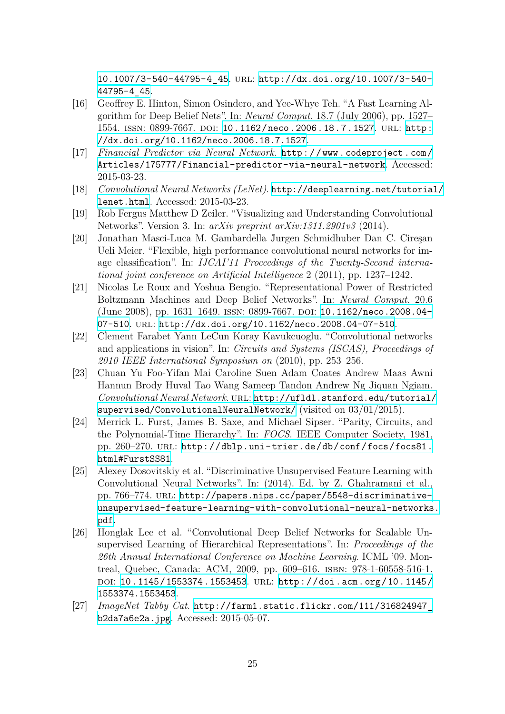[10.1007/3-540-44795-4\\_45](http://dx.doi.org/10.1007/3-540-44795-4_45). url: [http://dx.doi.org/10.1007/3-540-](http://dx.doi.org/10.1007/3-540-44795-4_45) [44795-4\\_45](http://dx.doi.org/10.1007/3-540-44795-4_45).

- <span id="page-25-0"></span>[16] Geoffrey E. Hinton, Simon Osindero, and Yee-Whye Teh. "A Fast Learning Algorithm for Deep Belief Nets". In: *Neural Comput.* 18.7 (July 2006), pp. 1527– 1554. issn: 0899-7667. doi: [10.1162/neco.2006.18.7.1527](http://dx.doi.org/10.1162/neco.2006.18.7.1527). url: [http:](http://dx.doi.org/10.1162/neco.2006.18.7.1527) [//dx.doi.org/10.1162/neco.2006.18.7.1527](http://dx.doi.org/10.1162/neco.2006.18.7.1527).
- <span id="page-25-1"></span>[17] *Financial Predictor via Neural Network*. [http://www.codeproject.com/](http://www.codeproject.com/Articles/175777/Financial-predictor-via-neural-network) [Articles/175777/Financial-predictor-via-neural-network](http://www.codeproject.com/Articles/175777/Financial-predictor-via-neural-network). Accessed: 2015-03-23.
- <span id="page-25-2"></span>[18] *Convolutional Neural Networks (LeNet)*. [http://deeplearning.net/tutorial/](http://deeplearning.net/tutorial/lenet.html) [lenet.html](http://deeplearning.net/tutorial/lenet.html). Accessed: 2015-03-23.
- <span id="page-25-3"></span>[19] Rob Fergus Matthew D Zeiler. "Visualizing and Understanding Convolutional Networks". Version 3. In: *arXiv preprint arXiv:1311.2901v3* (2014).
- <span id="page-25-4"></span>[20] Jonathan Masci-Luca M. Gambardella J̈urgen Schmidhuber Dan C. Cireşan Ueli Meier. "Flexible, high performance convolutional neural networks for image classification". In: *IJCAI'11 Proceedings of the Twenty-Second international joint conference on Artificial Intelligence* 2 (2011), pp. 1237–1242.
- <span id="page-25-5"></span>[21] Nicolas Le Roux and Yoshua Bengio. "Representational Power of Restricted Boltzmann Machines and Deep Belief Networks". In: *Neural Comput.* 20.6 (June 2008), pp. 1631–1649. ISSN: 0899-7667. DOI: 10.1162/neco.2008.04– [07-510](http://dx.doi.org/10.1162/neco.2008.04-07-510). url: <http://dx.doi.org/10.1162/neco.2008.04-07-510>.
- <span id="page-25-6"></span>[22] Cĺement Farabet Yann LeCun Koray Kavukcuoglu. "Convolutional networks and applications in vision". In: *Circuits and Systems (ISCAS), Proceedings of 2010 IEEE International Symposium on* (2010), pp. 253–256.
- <span id="page-25-7"></span>[23] Chuan Yu Foo-Yifan Mai Caroline Suen Adam Coates Andrew Maas Awni Hannun Brody Huval Tao Wang Sameep Tandon Andrew Ng Jiquan Ngiam. *Convolutional Neural Network*. url: [http://ufldl.stanford.edu/tutorial/](http://ufldl.stanford.edu/tutorial/supervised/ConvolutionalNeuralNetwork/) [supervised/ConvolutionalNeuralNetwork/](http://ufldl.stanford.edu/tutorial/supervised/ConvolutionalNeuralNetwork/) (visited on 03/01/2015).
- <span id="page-25-8"></span>[24] Merrick L. Furst, James B. Saxe, and Michael Sipser. "Parity, Circuits, and the Polynomial-Time Hierarchy". In: *FOCS*. IEEE Computer Society, 1981, pp. 260-270. URL: [http://dblp.uni-trier.de/db/conf/focs/focs81.](http://dblp.uni-trier.de/db/conf/focs/focs81.html#FurstSS81) [html#FurstSS81](http://dblp.uni-trier.de/db/conf/focs/focs81.html#FurstSS81).
- <span id="page-25-9"></span>[25] Alexey Dosovitskiy et al. "Discriminative Unsupervised Feature Learning with Convolutional Neural Networks". In: (2014). Ed. by Z. Ghahramani et al., pp. 766–774. url: [http://papers.nips.cc/paper/5548-discriminative](http://papers.nips.cc/paper/5548-discriminative-unsupervised-feature-learning-with-convolutional-neural-networks.pdf)[unsupervised-feature-learning-with-convolutional-neural-networks.](http://papers.nips.cc/paper/5548-discriminative-unsupervised-feature-learning-with-convolutional-neural-networks.pdf) [pdf](http://papers.nips.cc/paper/5548-discriminative-unsupervised-feature-learning-with-convolutional-neural-networks.pdf).
- <span id="page-25-10"></span>[26] Honglak Lee et al. "Convolutional Deep Belief Networks for Scalable Unsupervised Learning of Hierarchical Representations". In: *Proceedings of the 26th Annual International Conference on Machine Learning*. ICML '09. Montreal, Quebec, Canada: ACM, 2009, pp. 609–616. isbn: 978-1-60558-516-1. doi: [10.1145/1553374.1553453](http://dx.doi.org/10.1145/1553374.1553453). url: [http://doi.acm.org/10.1145/](http://doi.acm.org/10.1145/1553374.1553453) [1553374.1553453](http://doi.acm.org/10.1145/1553374.1553453).
- <span id="page-25-11"></span>[27] *ImageNet Tabby Cat*. [http://farm1.static.flickr.com/111/316824947\\_](http://farm1.static.flickr.com/111/316824947_b2da7a6e2a.jpg) [b2da7a6e2a.jpg](http://farm1.static.flickr.com/111/316824947_b2da7a6e2a.jpg). Accessed: 2015-05-07.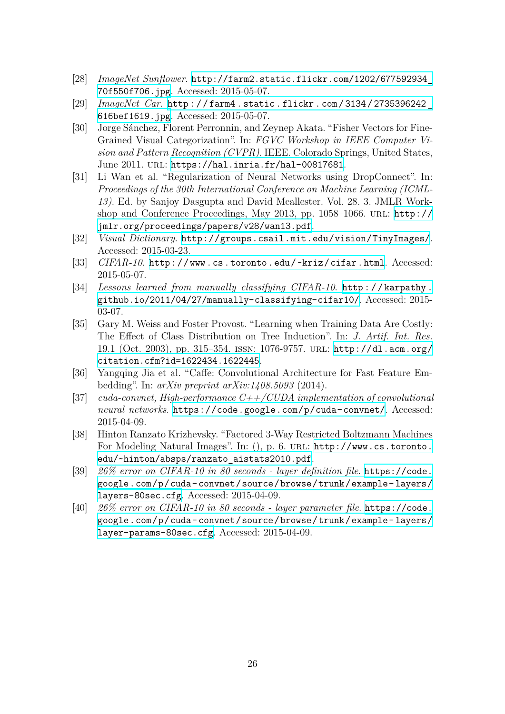- <span id="page-26-0"></span>[28] *ImageNet Sunflower*. [http://farm2.static.flickr.com/1202/677592934\\_](http://farm2.static.flickr.com/1202/677592934_70f550f706.jpg) [70f550f706.jpg](http://farm2.static.flickr.com/1202/677592934_70f550f706.jpg). Accessed: 2015-05-07.
- <span id="page-26-1"></span>[29] *ImageNet Car*. [http://farm4.static.flickr.com/3134/2735396242\\_](http://farm4.static.flickr.com/3134/2735396242_616bef1619.jpg) [616bef1619.jpg](http://farm4.static.flickr.com/3134/2735396242_616bef1619.jpg). Accessed: 2015-05-07.
- <span id="page-26-2"></span>[30] Jorge Sánchez, Florent Perronnin, and Zeynep Akata. "Fisher Vectors for Fine-Grained Visual Categorization". In: *FGVC Workshop in IEEE Computer Vision and Pattern Recognition (CVPR)*. IEEE. Colorado Springs, United States, June 2011. url: <https://hal.inria.fr/hal-00817681>.
- <span id="page-26-3"></span>[31] Li Wan et al. "Regularization of Neural Networks using DropConnect". In: *Proceedings of the 30th International Conference on Machine Learning (ICML-13)*. Ed. by Sanjoy Dasgupta and David Mcallester. Vol. 28. 3. JMLR Workshop and Conference Proceedings, May 2013, pp. 1058–1066. url: [http://](http://jmlr.org/proceedings/papers/v28/wan13.pdf) [jmlr.org/proceedings/papers/v28/wan13.pdf](http://jmlr.org/proceedings/papers/v28/wan13.pdf).
- <span id="page-26-4"></span>[32] *Visual Dictionary*. <http://groups.csail.mit.edu/vision/TinyImages/>. Accessed: 2015-03-23.
- <span id="page-26-5"></span>[33] *CIFAR-10*. <http://www.cs.toronto.edu/~kriz/cifar.html>. Accessed: 2015-05-07.
- <span id="page-26-6"></span>[34] *Lessons learned from manually classifying CIFAR-10*. [http://karpathy.](http://karpathy.github.io/2011/04/27/manually-classifying-cifar10/) [github.io/2011/04/27/manually-classifying-cifar10/](http://karpathy.github.io/2011/04/27/manually-classifying-cifar10/). Accessed: 2015- 03-07.
- <span id="page-26-7"></span>[35] Gary M. Weiss and Foster Provost. "Learning when Training Data Are Costly: The Effect of Class Distribution on Tree Induction". In: *J. Artif. Int. Res.* 19.1 (Oct. 2003), pp. 315–354. issn: 1076-9757. url: [http://dl.acm.org/](http://dl.acm.org/citation.cfm?id=1622434.1622445) [citation.cfm?id=1622434.1622445](http://dl.acm.org/citation.cfm?id=1622434.1622445).
- <span id="page-26-8"></span>[36] Yangqing Jia et al. "Caffe: Convolutional Architecture for Fast Feature Embedding". In: *arXiv preprint arXiv:1408.5093* (2014).
- <span id="page-26-9"></span>[37] *cuda-convnet, High-performance C++/CUDA implementation of convolutional neural networks*. <https://code.google.com/p/cuda-convnet/>. Accessed: 2015-04-09.
- <span id="page-26-10"></span>[38] Hinton Ranzato Krizhevsky. "Factored 3-Way Restricted Boltzmann Machines For Modeling Natural Images". In: (), p. 6. URL: [http://www.cs.toronto.](http://www.cs.toronto.edu/~hinton/absps/ranzato_aistats2010.pdf) [edu/~hinton/absps/ranzato\\_aistats2010.pdf](http://www.cs.toronto.edu/~hinton/absps/ranzato_aistats2010.pdf).
- <span id="page-26-11"></span>[39] *26% error on CIFAR-10 in 80 seconds - layer definition file*. [https://code.](https://code.google.com/p/cuda-convnet/source/browse/trunk/example-layers/layers-80sec.cfg) [google.com/p/cuda-convnet/source/browse/trunk/example-layers/](https://code.google.com/p/cuda-convnet/source/browse/trunk/example-layers/layers-80sec.cfg) [layers-80sec.cfg](https://code.google.com/p/cuda-convnet/source/browse/trunk/example-layers/layers-80sec.cfg). Accessed: 2015-04-09.
- <span id="page-26-12"></span>[40] *26% error on CIFAR-10 in 80 seconds - layer parameter file*. [https://code.](https://code.google.com/p/cuda-convnet/source/browse/trunk/example-layers/layer-params-80sec.cfg) [google.com/p/cuda-convnet/source/browse/trunk/example-layers/](https://code.google.com/p/cuda-convnet/source/browse/trunk/example-layers/layer-params-80sec.cfg) [layer-params-80sec.cfg](https://code.google.com/p/cuda-convnet/source/browse/trunk/example-layers/layer-params-80sec.cfg). Accessed: 2015-04-09.